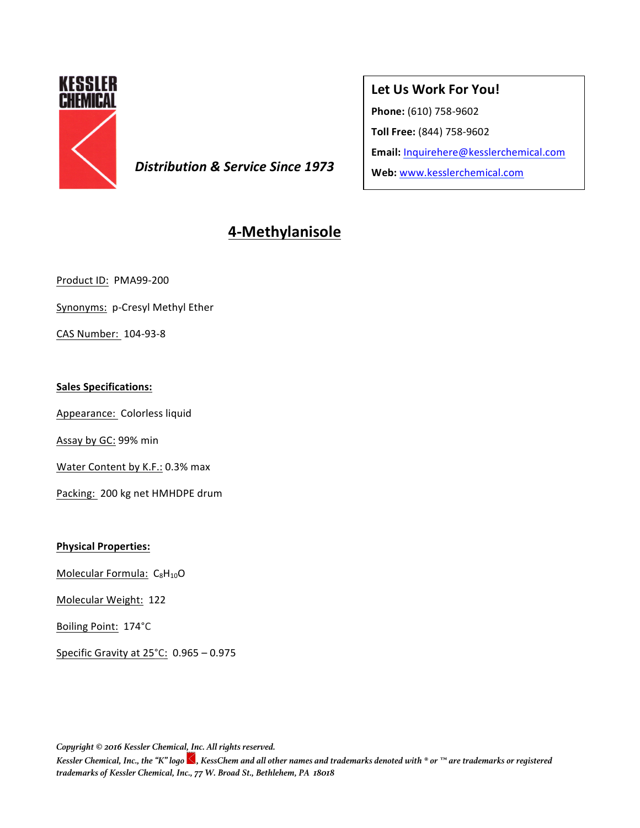

**Distribution & Service Since 1973** Web: www.kesslerchemical.com

## Let Us Work For You!

**Phone:** (610) 758-9602

**Toll Free:** (844) 758-9602

**Email:** Inquirehere@kesslerchemical.com

# **4-Methylanisole**

Product ID: PMA99-200

Synonyms: p-Cresyl Methyl Ether

CAS Number: 104-93-8

### **Sales Specifications:**

Appearance: Colorless liquid

Assay by GC: 99% min

Water Content by K.F.: 0.3% max

Packing: 200 kg net HMHDPE drum

### **Physical Properties:**

Molecular Formula:  $C_8H_{10}O$ 

Molecular Weight: 122

Boiling Point: 174°C

Specific Gravity at  $25^{\circ}$ C:  $0.965 - 0.975$ 

*Copyright © 2016 Kessler Chemical, Inc. All rights reserved.*